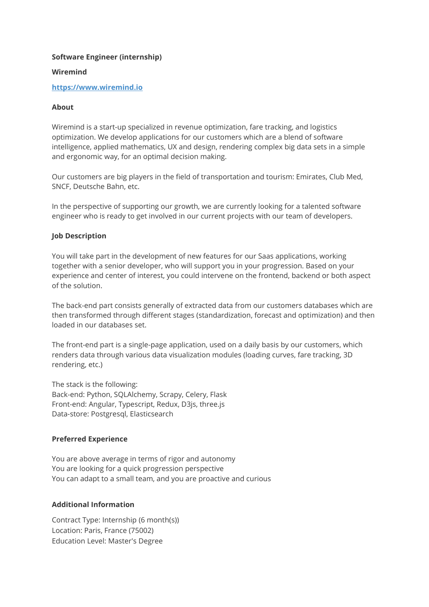# **Software Engineer (internship)**

# **Wiremind**

## **[https://www.wiremind.io](https://www.wiremind.io/)**

# **About**

Wiremind is a start-up specialized in revenue optimization, fare tracking, and logistics optimization. We develop applications for our customers which are a blend of software intelligence, applied mathematics, UX and design, rendering complex big data sets in a simple and ergonomic way, for an optimal decision making.

Our customers are big players in the field of transportation and tourism: Emirates, Club Med, SNCF, Deutsche Bahn, etc.

In the perspective of supporting our growth, we are currently looking for a talented software engineer who is ready to get involved in our current projects with our team of developers.

# **Job Description**

You will take part in the development of new features for our Saas applications, working together with a senior developer, who will support you in your progression. Based on your experience and center of interest, you could intervene on the frontend, backend or both aspect of the solution.

The back-end part consists generally of extracted data from our customers databases which are then transformed through different stages (standardization, forecast and optimization) and then loaded in our databases set.

The front-end part is a single-page application, used on a daily basis by our customers, which renders data through various data visualization modules (loading curves, fare tracking, 3D rendering, etc.)

The stack is the following: Back-end: Python, SQLAlchemy, Scrapy, Celery, Flask Front-end: Angular, Typescript, Redux, D3js, three.js Data-store: Postgresql, Elasticsearch

#### **Preferred Experience**

You are above average in terms of rigor and autonomy You are looking for a quick progression perspective You can adapt to a small team, and you are proactive and curious

#### **Additional Information**

Contract Type: Internship (6 month(s)) Location: Paris, France (75002) Education Level: Master's Degree